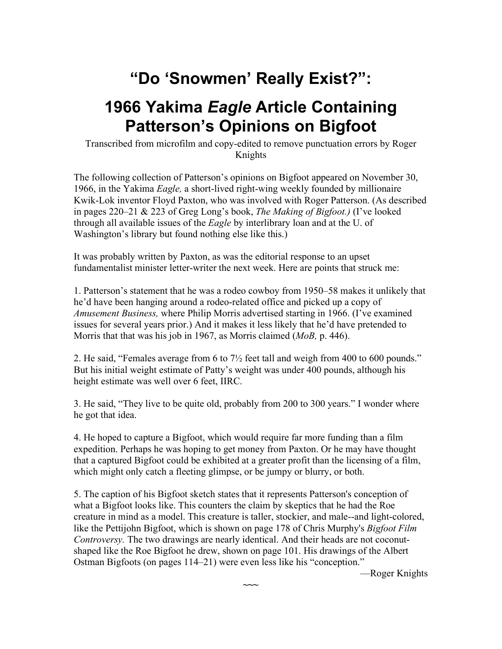# **"Do 'Snowmen' Really Exist?":**

## **1966 Yakima** *Eagle* **Article Containing Patterson's Opinions on Bigfoot**

Transcribed from microfilm and copy-edited to remove punctuation errors by Roger Knights

The following collection of Patterson's opinions on Bigfoot appeared on November 30, 1966, in the Yakima *Eagle,* a short-lived right-wing weekly founded by millionaire Kwik-Lok inventor Floyd Paxton, who was involved with Roger Patterson. (As described in pages 220–21 & 223 of Greg Long's book, *The Making of Bigfoot.)* (I've looked through all available issues of the *Eagle* by interlibrary loan and at the U. of Washington's library but found nothing else like this.)

It was probably written by Paxton, as was the editorial response to an upset fundamentalist minister letter-writer the next week. Here are points that struck me:

1. Patterson's statement that he was a rodeo cowboy from 1950–58 makes it unlikely that he'd have been hanging around a rodeo-related office and picked up a copy of *Amusement Business,* where Philip Morris advertised starting in 1966. (I've examined issues for several years prior.) And it makes it less likely that he'd have pretended to Morris that that was his job in 1967, as Morris claimed (*MoB,* p. 446).

2. He said, "Females average from 6 to 7½ feet tall and weigh from 400 to 600 pounds." But his initial weight estimate of Patty's weight was under 400 pounds, although his height estimate was well over 6 feet, IIRC.

3. He said, "They live to be quite old, probably from 200 to 300 years." I wonder where he got that idea.

4. He hoped to capture a Bigfoot, which would require far more funding than a film expedition. Perhaps he was hoping to get money from Paxton. Or he may have thought that a captured Bigfoot could be exhibited at a greater profit than the licensing of a film, which might only catch a fleeting glimpse, or be jumpy or blurry, or both.

5. The caption of his Bigfoot sketch states that it represents Patterson's conception of what a Bigfoot looks like. This counters the claim by skeptics that he had the Roe creature in mind as a model. This creature is taller, stockier, and male--and light-colored, like the Pettijohn Bigfoot, which is shown on page 178 of Chris Murphy's *Bigfoot Film Controversy.* The two drawings are nearly identical. And their heads are not coconutshaped like the Roe Bigfoot he drew, shown on page 101. His drawings of the Albert Ostman Bigfoots (on pages 114–21) were even less like his "conception."

**~~~**

—Roger Knights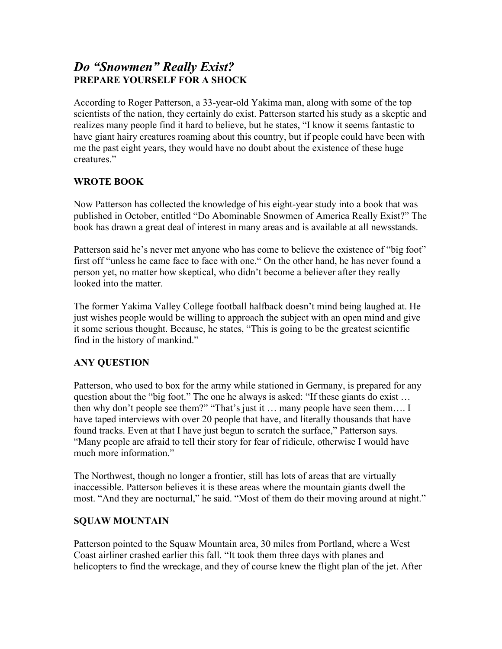### *Do "Snowmen" Really Exist?*  **PREPARE YOURSELF FOR A SHOCK**

According to Roger Patterson, a 33-year-old Yakima man, along with some of the top scientists of the nation, they certainly do exist. Patterson started his study as a skeptic and realizes many people find it hard to believe, but he states, "I know it seems fantastic to have giant hairy creatures roaming about this country, but if people could have been with me the past eight years, they would have no doubt about the existence of these huge creatures."

#### **WROTE BOOK**

Now Patterson has collected the knowledge of his eight-year study into a book that was published in October, entitled "Do Abominable Snowmen of America Really Exist?" The book has drawn a great deal of interest in many areas and is available at all newsstands.

Patterson said he's never met anyone who has come to believe the existence of "big foot" first off "unless he came face to face with one." On the other hand, he has never found a person yet, no matter how skeptical, who didn't become a believer after they really looked into the matter.

The former Yakima Valley College football halfback doesn't mind being laughed at. He just wishes people would be willing to approach the subject with an open mind and give it some serious thought. Because, he states, "This is going to be the greatest scientific find in the history of mankind."

#### **ANY QUESTION**

Patterson, who used to box for the army while stationed in Germany, is prepared for any question about the "big foot." The one he always is asked: "If these giants do exist … then why don't people see them?" "That's just it … many people have seen them…. I have taped interviews with over 20 people that have, and literally thousands that have found tracks. Even at that I have just begun to scratch the surface," Patterson says. "Many people are afraid to tell their story for fear of ridicule, otherwise I would have much more information."

The Northwest, though no longer a frontier, still has lots of areas that are virtually inaccessible. Patterson believes it is these areas where the mountain giants dwell the most. "And they are nocturnal," he said. "Most of them do their moving around at night."

#### **SQUAW MOUNTAIN**

Patterson pointed to the Squaw Mountain area, 30 miles from Portland, where a West Coast airliner crashed earlier this fall. "It took them three days with planes and helicopters to find the wreckage, and they of course knew the flight plan of the jet. After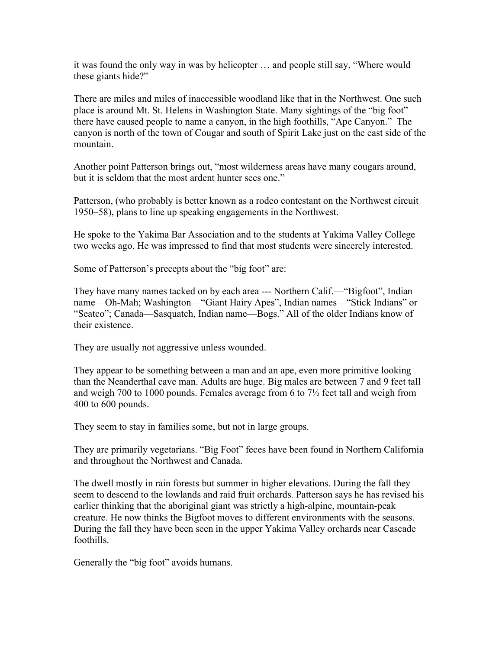it was found the only way in was by helicopter … and people still say, "Where would these giants hide?"

There are miles and miles of inaccessible woodland like that in the Northwest. One such place is around Mt. St. Helens in Washington State. Many sightings of the "big foot" there have caused people to name a canyon, in the high foothills, "Ape Canyon." The canyon is north of the town of Cougar and south of Spirit Lake just on the east side of the mountain.

Another point Patterson brings out, "most wilderness areas have many cougars around, but it is seldom that the most ardent hunter sees one."

Patterson, (who probably is better known as a rodeo contestant on the Northwest circuit 1950–58), plans to line up speaking engagements in the Northwest.

He spoke to the Yakima Bar Association and to the students at Yakima Valley College two weeks ago. He was impressed to find that most students were sincerely interested.

Some of Patterson's precepts about the "big foot" are:

They have many names tacked on by each area --- Northern Calif.—"Bigfoot", Indian name—Oh-Mah; Washington—"Giant Hairy Apes", Indian names—"Stick Indians" or "Seatco"; Canada—Sasquatch, Indian name—Bogs." All of the older Indians know of their existence.

They are usually not aggressive unless wounded.

They appear to be something between a man and an ape, even more primitive looking than the Neanderthal cave man. Adults are huge. Big males are between 7 and 9 feet tall and weigh 700 to 1000 pounds. Females average from 6 to  $7\frac{1}{2}$  feet tall and weigh from 400 to 600 pounds.

They seem to stay in families some, but not in large groups.

They are primarily vegetarians. "Big Foot" feces have been found in Northern California and throughout the Northwest and Canada.

The dwell mostly in rain forests but summer in higher elevations. During the fall they seem to descend to the lowlands and raid fruit orchards. Patterson says he has revised his earlier thinking that the aboriginal giant was strictly a high-alpine, mountain-peak creature. He now thinks the Bigfoot moves to different environments with the seasons. During the fall they have been seen in the upper Yakima Valley orchards near Cascade foothills.

Generally the "big foot" avoids humans.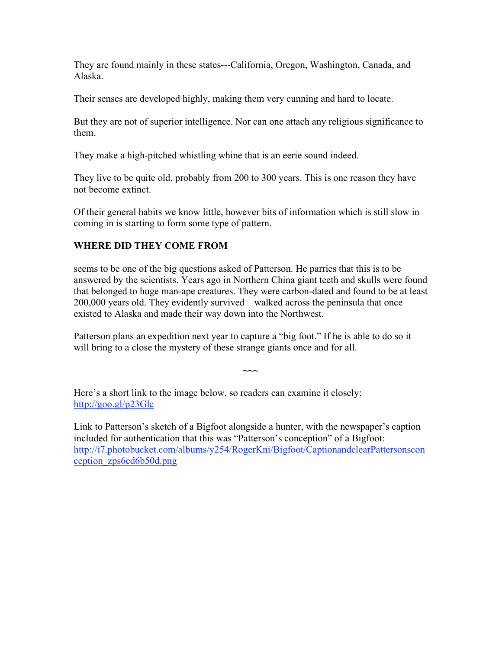They are found mainly in these states---California, Oregon, Washington, Canada, and Alaska.

Their senses are developed highly, making them very cunning and hard to locate.

But they are not of superior intelligence. Nor can one attach any religious significance to them.

They make a high-pitched whistling whine that is an eerie sound indeed.

They live to be quite old, probably from 200 to 300 years. This is one reason they have not become extinct.

Of their general habits we know little, however bits of information which is still slow in coming in is starting to form some type of pattern.

#### **WHERE DID THEY COME FROM**

seems to be one of the big questions asked of Patterson. He parries that this is to be answered by the scientists. Years ago in Northern China giant teeth and skulls were found that belonged to huge man-ape creatures. They were carbon-dated and found to be at least 200,000 years old. They evidently survived—walked across the peninsula that once existed to Alaska and made their way down into the Northwest.

Patterson plans an expedition next year to capture a "big foot." If he is able to do so it will bring to a close the mystery of these strange giants once and for all.

**~~~**

Here's a short link to the image below, so readers can examine it closely: http://goo.gl/p23Glc

Link to Patterson's sketch of a Bigfoot alongside a hunter, with the newspaper's caption included for authentication that this was "Patterson's conception" of a Bigfoot: http://i7.photobucket.com/albums/y254/RogerKni/Bigfoot/CaptionandclearPattersonscon ception\_zps6ed6b50d.png